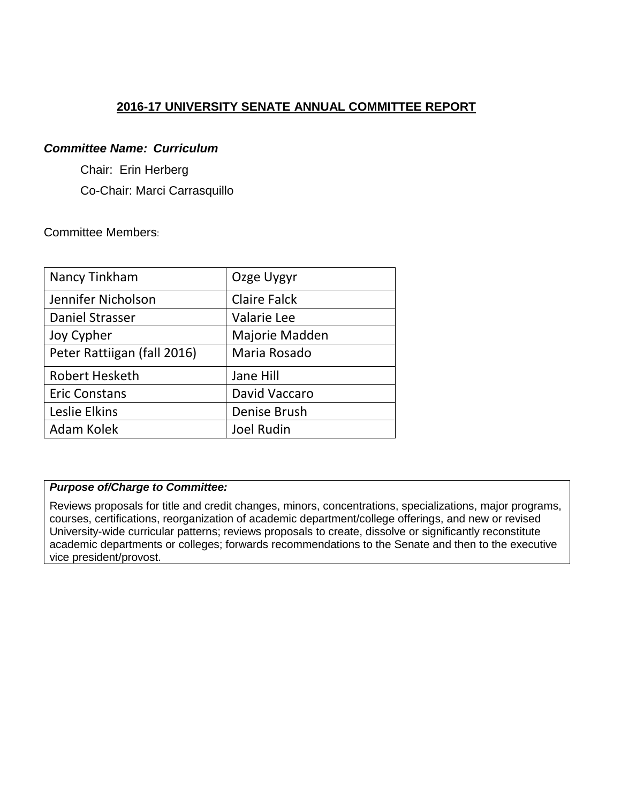# **2016-17 UNIVERSITY SENATE ANNUAL COMMITTEE REPORT**

### *Committee Name: Curriculum*

Chair: Erin Herberg

Co-Chair: Marci Carrasquillo

## Committee Members:

| Nancy Tinkham               | Ozge Uygyr          |
|-----------------------------|---------------------|
| Jennifer Nicholson          | <b>Claire Falck</b> |
| Daniel Strasser             | <b>Valarie Lee</b>  |
| Joy Cypher                  | Majorie Madden      |
| Peter Rattiigan (fall 2016) | Maria Rosado        |
| <b>Robert Hesketh</b>       | Jane Hill           |
| <b>Eric Constans</b>        | David Vaccaro       |
| Leslie Elkins               | Denise Brush        |
| Adam Kolek                  | <b>Joel Rudin</b>   |

# *Purpose of/Charge to Committee:*

Reviews proposals for title and credit changes, minors, concentrations, specializations, major programs, courses, certifications, reorganization of academic department/college offerings, and new or revised University-wide curricular patterns; reviews proposals to create, dissolve or significantly reconstitute academic departments or colleges; forwards recommendations to the Senate and then to the executive vice president/provost.